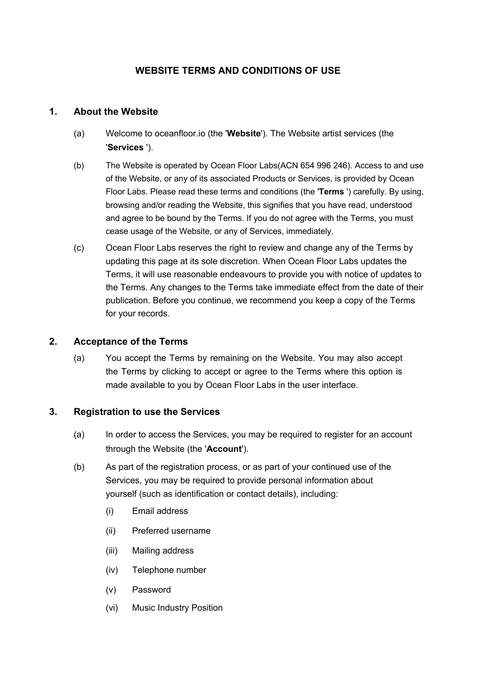## **WEBSITE TERMS AND CONDITIONS OF USE**

## **1. About the Website**

- (a) Welcome to oceanfloor.io (the '**Website**'). The Website artist services (the '**Services** ').
- (b) The Website is operated by Ocean Floor Labs(ACN 654 996 246). Access to and use of the Website, or any of its associated Products or Services, is provided by Ocean Floor Labs. Please read these terms and conditions (the '**Terms** ') carefully. By using, browsing and/or reading the Website, this signifies that you have read, understood and agree to be bound by the Terms. If you do not agree with the Terms, you must cease usage of the Website, or any of Services, immediately.
- (c) Ocean Floor Labs reserves the right to review and change any of the Terms by updating this page at its sole discretion. When Ocean Floor Labs updates the Terms, it will use reasonable endeavours to provide you with notice of updates to the Terms. Any changes to the Terms take immediate effect from the date of their publication. Before you continue, we recommend you keep a copy of the Terms for your records.

### **2. Acceptance of the Terms**

(a) You accept the Terms by remaining on the Website. You may also accept the Terms by clicking to accept or agree to the Terms where this option is made available to you by Ocean Floor Labs in the user interface.

### **3. Registration to use the Services**

- (a) In order to access the Services, you may be required to register for an account through the Website (the '**Account**').
- (b) As part of the registration process, or as part of your continued use of the Services, you may be required to provide personal information about yourself (such as identification or contact details), including:
	- (i) Email address
	- (ii) Preferred username
	- (iii) Mailing address
	- (iv) Telephone number
	- (v) Password
	- (vi) Music Industry Position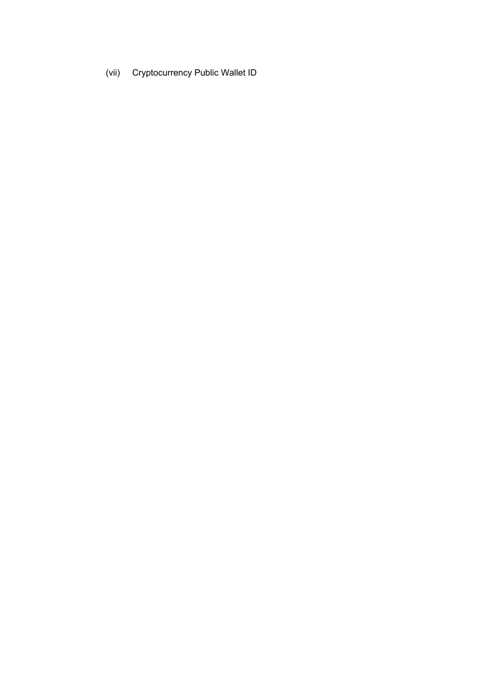(vii) Cryptocurrency Public Wallet ID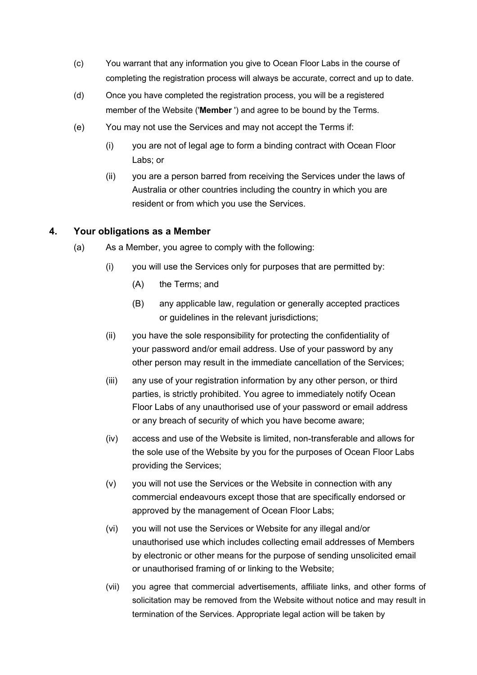- (c) You warrant that any information you give to Ocean Floor Labs in the course of completing the registration process will always be accurate, correct and up to date.
- (d) Once you have completed the registration process, you will be a registered member of the Website ('**Member** ') and agree to be bound by the Terms.
- (e) You may not use the Services and may not accept the Terms if:
	- (i) you are not of legal age to form a binding contract with Ocean Floor Labs; or
	- (ii) you are a person barred from receiving the Services under the laws of Australia or other countries including the country in which you are resident or from which you use the Services.

### **4. Your obligations as a Member**

- (a) As a Member, you agree to comply with the following:
	- (i) you will use the Services only for purposes that are permitted by:
		- (A) the Terms; and
		- (B) any applicable law, regulation or generally accepted practices or guidelines in the relevant jurisdictions;
	- (ii) you have the sole responsibility for protecting the confidentiality of your password and/or email address. Use of your password by any other person may result in the immediate cancellation of the Services;
	- (iii) any use of your registration information by any other person, or third parties, is strictly prohibited. You agree to immediately notify Ocean Floor Labs of any unauthorised use of your password or email address or any breach of security of which you have become aware;
	- (iv) access and use of the Website is limited, non-transferable and allows for the sole use of the Website by you for the purposes of Ocean Floor Labs providing the Services;
	- (v) you will not use the Services or the Website in connection with any commercial endeavours except those that are specifically endorsed or approved by the management of Ocean Floor Labs;
	- (vi) you will not use the Services or Website for any illegal and/or unauthorised use which includes collecting email addresses of Members by electronic or other means for the purpose of sending unsolicited email or unauthorised framing of or linking to the Website;
	- (vii) you agree that commercial advertisements, affiliate links, and other forms of solicitation may be removed from the Website without notice and may result in termination of the Services. Appropriate legal action will be taken by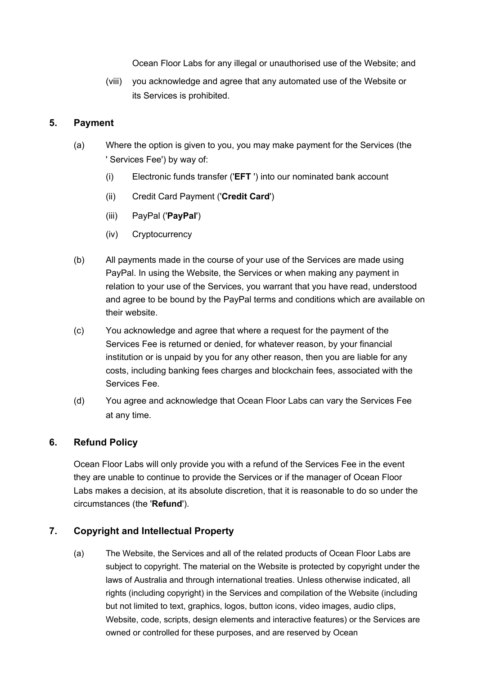Ocean Floor Labs for any illegal or unauthorised use of the Website; and

(viii) you acknowledge and agree that any automated use of the Website or its Services is prohibited.

## **5. Payment**

- (a) Where the option is given to you, you may make payment for the Services (the ' Services Fee') by way of:
	- (i) Electronic funds transfer ('**EFT** ') into our nominated bank account
	- (ii) Credit Card Payment ('**Credit Card**')
	- (iii) PayPal ('**PayPal**')
	- (iv) Cryptocurrency
- (b) All payments made in the course of your use of the Services are made using PayPal. In using the Website, the Services or when making any payment in relation to your use of the Services, you warrant that you have read, understood and agree to be bound by the PayPal terms and conditions which are available on their website.
- (c) You acknowledge and agree that where a request for the payment of the Services Fee is returned or denied, for whatever reason, by your financial institution or is unpaid by you for any other reason, then you are liable for any costs, including banking fees charges and blockchain fees, associated with the Services Fee.
- (d) You agree and acknowledge that Ocean Floor Labs can vary the Services Fee at any time.

# **6. Refund Policy**

Ocean Floor Labs will only provide you with a refund of the Services Fee in the event they are unable to continue to provide the Services or if the manager of Ocean Floor Labs makes a decision, at its absolute discretion, that it is reasonable to do so under the circumstances (the '**Refund**').

# **7. Copyright and Intellectual Property**

(a) The Website, the Services and all of the related products of Ocean Floor Labs are subject to copyright. The material on the Website is protected by copyright under the laws of Australia and through international treaties. Unless otherwise indicated, all rights (including copyright) in the Services and compilation of the Website (including but not limited to text, graphics, logos, button icons, video images, audio clips, Website, code, scripts, design elements and interactive features) or the Services are owned or controlled for these purposes, and are reserved by Ocean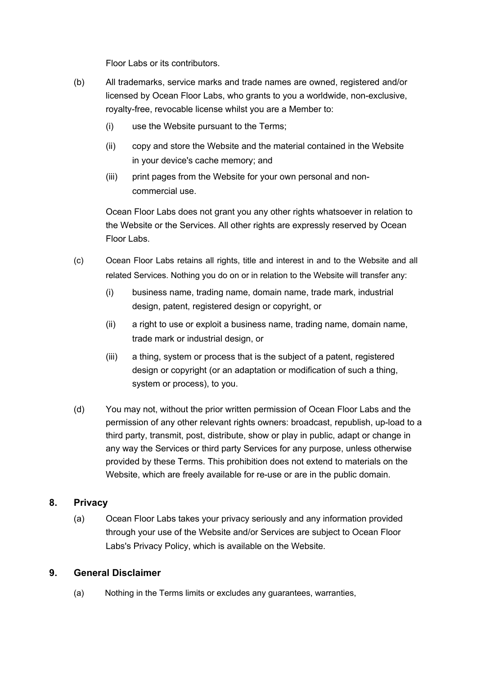Floor Labs or its contributors.

- (b) All trademarks, service marks and trade names are owned, registered and/or licensed by Ocean Floor Labs, who grants to you a worldwide, non-exclusive, royalty-free, revocable license whilst you are a Member to:
	- (i) use the Website pursuant to the Terms;
	- (ii) copy and store the Website and the material contained in the Website in your device's cache memory; and
	- (iii) print pages from the Website for your own personal and noncommercial use.

Ocean Floor Labs does not grant you any other rights whatsoever in relation to the Website or the Services. All other rights are expressly reserved by Ocean Floor Labs.

- (c) Ocean Floor Labs retains all rights, title and interest in and to the Website and all related Services. Nothing you do on or in relation to the Website will transfer any:
	- (i) business name, trading name, domain name, trade mark, industrial design, patent, registered design or copyright, or
	- (ii) a right to use or exploit a business name, trading name, domain name, trade mark or industrial design, or
	- (iii) a thing, system or process that is the subject of a patent, registered design or copyright (or an adaptation or modification of such a thing, system or process), to you.
- (d) You may not, without the prior written permission of Ocean Floor Labs and the permission of any other relevant rights owners: broadcast, republish, up-load to a third party, transmit, post, distribute, show or play in public, adapt or change in any way the Services or third party Services for any purpose, unless otherwise provided by these Terms. This prohibition does not extend to materials on the Website, which are freely available for re-use or are in the public domain.

### **8. Privacy**

(a) Ocean Floor Labs takes your privacy seriously and any information provided through your use of the Website and/or Services are subject to Ocean Floor Labs's Privacy Policy, which is available on the Website.

### **9. General Disclaimer**

(a) Nothing in the Terms limits or excludes any guarantees, warranties,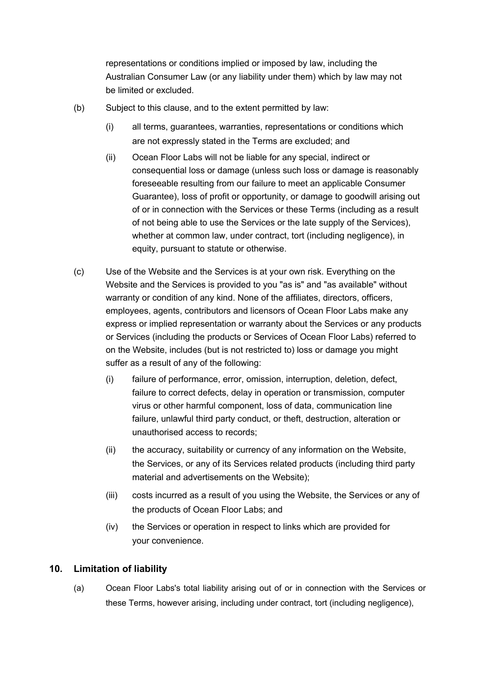representations or conditions implied or imposed by law, including the Australian Consumer Law (or any liability under them) which by law may not be limited or excluded.

- (b) Subject to this clause, and to the extent permitted by law:
	- (i) all terms, guarantees, warranties, representations or conditions which are not expressly stated in the Terms are excluded; and
	- (ii) Ocean Floor Labs will not be liable for any special, indirect or consequential loss or damage (unless such loss or damage is reasonably foreseeable resulting from our failure to meet an applicable Consumer Guarantee), loss of profit or opportunity, or damage to goodwill arising out of or in connection with the Services or these Terms (including as a result of not being able to use the Services or the late supply of the Services), whether at common law, under contract, tort (including negligence), in equity, pursuant to statute or otherwise.
- (c) Use of the Website and the Services is at your own risk. Everything on the Website and the Services is provided to you "as is" and "as available" without warranty or condition of any kind. None of the affiliates, directors, officers, employees, agents, contributors and licensors of Ocean Floor Labs make any express or implied representation or warranty about the Services or any products or Services (including the products or Services of Ocean Floor Labs) referred to on the Website, includes (but is not restricted to) loss or damage you might suffer as a result of any of the following:
	- (i) failure of performance, error, omission, interruption, deletion, defect, failure to correct defects, delay in operation or transmission, computer virus or other harmful component, loss of data, communication line failure, unlawful third party conduct, or theft, destruction, alteration or unauthorised access to records;
	- (ii) the accuracy, suitability or currency of any information on the Website, the Services, or any of its Services related products (including third party material and advertisements on the Website);
	- (iii) costs incurred as a result of you using the Website, the Services or any of the products of Ocean Floor Labs; and
	- (iv) the Services or operation in respect to links which are provided for your convenience.

### **10. Limitation of liability**

(a) Ocean Floor Labs's total liability arising out of or in connection with the Services or these Terms, however arising, including under contract, tort (including negligence),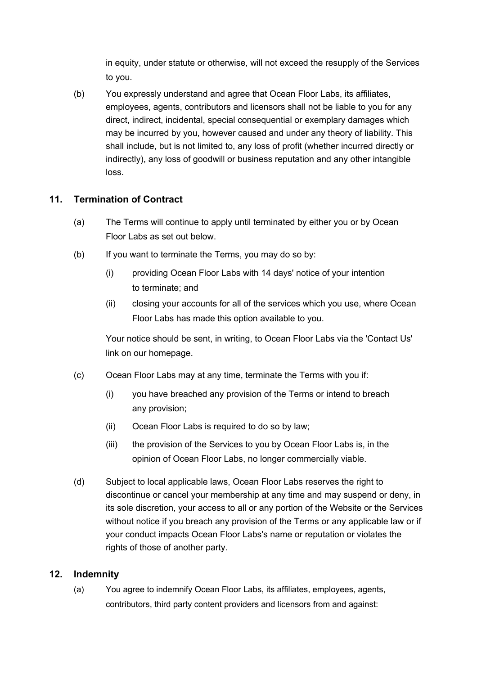in equity, under statute or otherwise, will not exceed the resupply of the Services to you.

(b) You expressly understand and agree that Ocean Floor Labs, its affiliates, employees, agents, contributors and licensors shall not be liable to you for any direct, indirect, incidental, special consequential or exemplary damages which may be incurred by you, however caused and under any theory of liability. This shall include, but is not limited to, any loss of profit (whether incurred directly or indirectly), any loss of goodwill or business reputation and any other intangible loss.

## **11. Termination of Contract**

- (a) The Terms will continue to apply until terminated by either you or by Ocean Floor Labs as set out below.
- (b) If you want to terminate the Terms, you may do so by:
	- (i) providing Ocean Floor Labs with 14 days' notice of your intention to terminate; and
	- (ii) closing your accounts for all of the services which you use, where Ocean Floor Labs has made this option available to you.

Your notice should be sent, in writing, to Ocean Floor Labs via the 'Contact Us' link on our homepage.

- (c) Ocean Floor Labs may at any time, terminate the Terms with you if:
	- (i) you have breached any provision of the Terms or intend to breach any provision;
	- (ii) Ocean Floor Labs is required to do so by law;
	- (iii) the provision of the Services to you by Ocean Floor Labs is, in the opinion of Ocean Floor Labs, no longer commercially viable.
- (d) Subject to local applicable laws, Ocean Floor Labs reserves the right to discontinue or cancel your membership at any time and may suspend or deny, in its sole discretion, your access to all or any portion of the Website or the Services without notice if you breach any provision of the Terms or any applicable law or if your conduct impacts Ocean Floor Labs's name or reputation or violates the rights of those of another party.

### **12. Indemnity**

(a) You agree to indemnify Ocean Floor Labs, its affiliates, employees, agents, contributors, third party content providers and licensors from and against: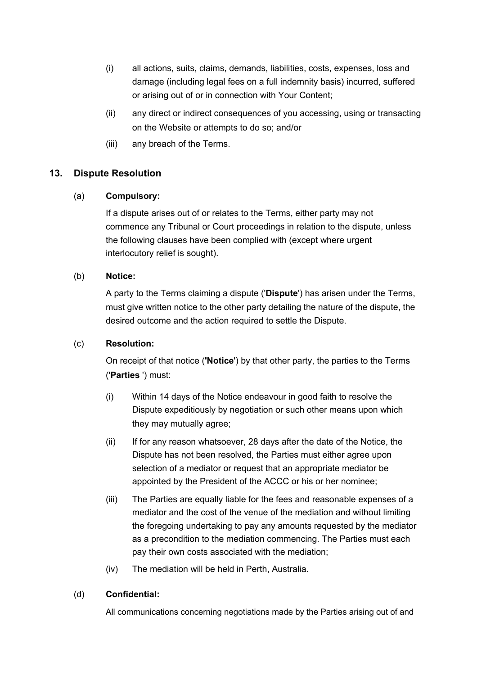- (i) all actions, suits, claims, demands, liabilities, costs, expenses, loss and damage (including legal fees on a full indemnity basis) incurred, suffered or arising out of or in connection with Your Content;
- (ii) any direct or indirect consequences of you accessing, using or transacting on the Website or attempts to do so; and/or
- (iii) any breach of the Terms.

### **13. Dispute Resolution**

### (a) **Compulsory:**

If a dispute arises out of or relates to the Terms, either party may not commence any Tribunal or Court proceedings in relation to the dispute, unless the following clauses have been complied with (except where urgent interlocutory relief is sought).

#### (b) **Notice:**

A party to the Terms claiming a dispute ('**Dispute**') has arisen under the Terms, must give written notice to the other party detailing the nature of the dispute, the desired outcome and the action required to settle the Dispute.

### (c) **Resolution:**

On receipt of that notice (**'Notice**') by that other party, the parties to the Terms ('**Parties** ') must:

- (i) Within 14 days of the Notice endeavour in good faith to resolve the Dispute expeditiously by negotiation or such other means upon which they may mutually agree;
- (ii) If for any reason whatsoever, 28 days after the date of the Notice, the Dispute has not been resolved, the Parties must either agree upon selection of a mediator or request that an appropriate mediator be appointed by the President of the ACCC or his or her nominee;
- (iii) The Parties are equally liable for the fees and reasonable expenses of a mediator and the cost of the venue of the mediation and without limiting the foregoing undertaking to pay any amounts requested by the mediator as a precondition to the mediation commencing. The Parties must each pay their own costs associated with the mediation;
- (iv) The mediation will be held in Perth, Australia.

#### (d) **Confidential:**

All communications concerning negotiations made by the Parties arising out of and